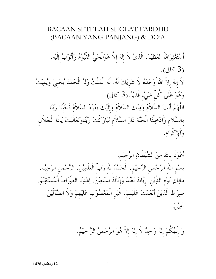## BACAAN SETELAH SHOLAT FARDHU (BACAAN YANG PANJANG) & DO'A

أَسْتَغْفِرَاللَّهُ الْعَظِيْمَ. الَّذِىْ لاَ إِلهَ إِلاَّ هُوَالْحَىُّ الْقَيُّوْمُ وَأَتُوْبُ إِلَيْه.  $(35.3)$ لاَ إِلهَ إِلاَّ اللهُ وَحْدَهُ لاَ شَرِيْكَ لَهُ. لَهُ الْمُلْكُ وَلَهُ الْحَمْدُ يُحْييْ وَيُمِيْتُ وَهُوَ عَلَى كُلِّ شَيْء قَدِيْرٌ.(3 كالى) اللَّهُمَّ أَنْتَ السَّلاَمُ وَمِنْكَ السّلاَمُ وَإِلَيْكَ يَعُوْدُ السَّلاَمُ فَحَيّْنَا رَبَّنَا بالسَّلاَم وَاَدْخِلْنَا الْجَنَّةَ دَارَ السَّلاَمِ تَبَارَكْتَ رَبَّنَاوَتَعَالَيْتَ يَاذَا الْجَلاَل وَأَلاٍ كَرَامٍ.

أَعُوْذُ بالله مِنَ الشَّيْطَانِ الرَّجيْم. بِسْمِ اللهِ الرَّحْمنِ الرَّحِيْمِ. الْحَمْدُ لله رَبّ الْعلَمِيْنَ. الرَّحْمنِ الرَّحِيْمِ. مَالِكِ يَوْمِ اللَّذِينِ. إِيَّاكَ نَعْبُدُ وَإِيَّاكَ نَسْتَعِيْنُ. اِهْدِنَا الصِّرَاطَ الْمُسْتَقِيْمَ. صِرَاطَ الَّذِيْنَ أَنْعَمْتَ عَلَيْهِمْ. غَيْرِ الْمَغْضُوْبِ عَلَيْهِمَ وَلاَ الضَّآلِّيْنَ. آمينَ.

وَ إِلَهُكُمْ إِلهٌ وَاحِدٌ لاَ إِلهَ إِلاَّ هُوَ الرَّحْمنُ الرَّ حِيْمُ.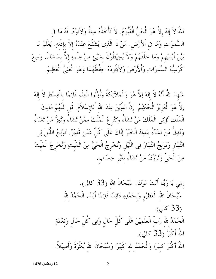اللَّهُ لاَ إِلهَ إِلاَّ هُوَ الْحَيُّ الْقَيُّومُ. لاَ تَأْخُذُهُ سِنَةٌ وَلاَنَوْمٌ. لَهُ مَا فِي السَّموَاتِ وَمَا فِى ٱلأَرْضِ. مَنْ ذَا الَّذِى يَشْفَعُ عِنْدَهُ إِلاَّ بِإِذْنِهِ. يَعْلَمُ مَا بَيْنَ أَيْدِيْهِمْ وَمَا خَلْفَهُمْ وَلاَ يُحِيْطُوْنَ بِشَيْئٍ مِنْ عِلْمِهِ إِلاَّ بِمَاشَآءَ. وَسِعَ كُرْسِيُّهُ السَّموَاتِ وَٱلأَرْضَ وَلاَيَئُودُهُ حِفْظُهُمَا وَهُوَ الْعَلِيُّ الْعَظِيمُ.

شَهِدَ اللَّهُ أَنَّهُ لاَ إِلهَ إِلاَّ هُوَ وَالْمَلاَّئِكَةُ وَأُوْلُوا الْعِلْمِ قَآئِمًا بِالْقِسْطِ لاَ إِلهَ إِلاَّ هُوَ الْعَزِيْزُ الْحَكِيْمُ. إِنَّ الدِّيْنَ عِنْدَ الله اْللإسْلاَمُ. قُل اللَّهُمَّ مَالِكَ الْمُلْكِ تُؤْتِي الْمُلْكَ مَنْ تَشَآءُ وَتَنْزِ عُ الْمُلْكَ مِمَّنْ تَشَآءُ وَتُعِزُّ مَنْ تَشَآءُ وَتُذِلُّ مَنْ تَشَآءُ بيَدِكَ الْخَيْرُ إِنَّكَ عَلَى كُلِّ شَيْئٍ قَدِيْرٌ. تُوْلِجُ اللَّيْلَ فِي النَّهَار وَتُوْلِجُ النَّهَارَ فِى اللَّيْلِ وَتُخْرِجُ الْحَيَّ مِنَ الْمَيّتِ وَتُخْرِجُ الْمَيّتَ مِنَ الْحَيِّ وَتَرْزُقُ مَنْ تَشَآءُ بغَيْرِ حِسَابٍ.

> إلهِي يَا رَبَّنَا أَنْتَ مَوْلَنَا. سُبْحَانَ الله (33 كالى). سُبْحَانَ الله الْعَظِيْمِ وَبِحَمْدِهِ دَائِمًا قَائِمًا أَبَدًا. الْحَمْدُ لله  $.$ (33 كالى). الْحَمْدُ لله رَبِّ الْعلَمِيْنَ عَلَى كُلِّ حَالٍ وَفِى كُلِّ حَالٍ وَنِعْمَةٍ اللَّهُ أَكْبَرُ (33 كالي). اللَّهُ أَكْبَرُ كَبِيْرًا وَالْحَمْدُ لله كَثِيْرًا وَسُبْحَانَ الله بُكْرَةً وَأَصِيْلاً.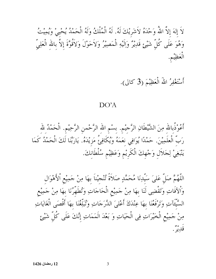لاَ إِلهَ إِلاَّ اللَّهُ وَحْدَهُ لاَشَرِيْكَ لَهُ. لَهُ الْمُلْكُ وَلَهُ الْحَمْدُ يُحْييْ وَيُمِيْتُ وَهُوَ عَلَى كُلّ شَيْئٍ قَدِيْرٌ وَاِلَيْهِ الْمَصِيْرُ وَلاَحَوْلَ وَلاَقُوَّةَ إلاَّ بالله الْعَلِيّ الْعَظِيْم.

أَسْتَغْفِرُ اللهُ الْعَظِيْمَ (3 كالى).

## $DO'A$

أَعُوْذُبالله مِنَ الشَّيْطَانِ الرَّجيْم. بسْم الله الرَّحْمن الرَّحِيْم. الْحَمْدُ لله رَبّ الْعلَمِيْنَ. حَمْدًا يُوَافِي نعَمَهُ وَيُكَافِئُ مَزِيْدَهُ. يَارَبَّنَا لَكَ الْحَمْدُ كَمَا يَنْبَغِيْ لِجَلاَل وَجْهِكَ الْكَرِيْمِ وَعَظِيْمِ سُلْطَانكَ.

اللَّهُمَّ صَلَّ عَلىَ سَيِّدِنَا مُحَمَّدٍ صَلاَةً تُنْجِيْناً بِهَا مِنْ جَمِيْعِ اْلأَهْوَال وَالآفَاتِ وَتَقْضِى لَنَا بِهَا مِنْ جَمِيْعِ الْحَاجَاتِ وَتُطَهَّرُنَا بِهَا مِنْ جَمِيْعِ السَّيِّئَاتِ وَتَرْفَعُنَا بِهَا عِنْدَكَ أَعْلَىَ الدَّرَجَاتِ وَتُبَلِّغُنَا بِهَا أَقْصَى الْغَايَاتِ مِنْ جَمِيْعِ الْخَيْرَاتِ فِي الْحَيَاتِ وَ بَعْدَ الْمَمَاتِ إِنَّكَ عَلَى كُلِّ شَيْئٍ قُلِيدٍ .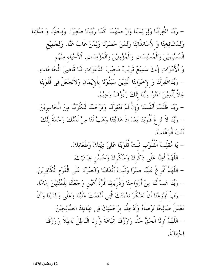– رَبَّنَا اغْفِرْلَنَا وَلِوَالِدَيْنَا وَارْحَمْهُمَا كَمَا رَبَّيَانَا صَغِيْرًا. وَلِجَدِّنَا وَجَدَّاتِنَا وَلِمَشَائِخِنَا وَ لأَسَاتِذَاتِنَا وَلِمَنْ حَضَرَنَا وَلِمَنْ غَابَ عَنَّا. وَلِجَمِيْع الْمُسْلِمِيْنَ وَالْمُسْلِمَاتِ وَالْمُؤْمِنِيْنَ وَالْمُؤْمِنَاتِ. اْلأَحْيَاء مِنْهُم وَ اْلأَمْوَاتِ إِنَّكَ سَمِيْعٌ قَرِيْبٌ مُجَيْبُ الدَّعَوَاتِ فَيَا قَاضِيَ الْحَاجَاتِ. – رَبَّنَااغْفِرْلَنَا وَ لإخْوَاننَا الَّذِيْنَ سَبَقُوْنَا بِاْلإِيْمَانِ وَلاَتَجْعَلْ فِي قُلُوْبنَا غِلاً لِّلَّذِيْنَ آمَنُوْا رَبَّنَا إِنَّكَ رَءُوْفٌ رَحِيْمٌ.

– رَبَّنَا ظَلَمْنَا أَنْفُسَنَا وَإِنْ لَمْ تَغْفِرْلَنَا وَتَرْحَمْنَا لَنَكُوْنَنَّا مِنَ الْخَاسِرِيْنَ. – رَبَّنَا لاَ تُزِ غْ قُلُوْبَنَا بَعْدَ إِذْ هَدَيْتَنَا وَهَبْ لَنَا مِنْ لَدُنْكَ رَحْمَةً إِنَّكَ أَنْتَ الْوَهَّابُّ.

> – يَا مُقَلِّبَ الْقُلُوْبِ تَبَّتْ قُلُوْبَنَا عَلَىَ دِيْنِكَ وَطَعَاتِكَ. – اللَّهُمَّ أَعِنَّا عَلَى ذِكْرِكَ وَشُكْرِكَ وَحُسْنِ عِبَادَتِكَ.

– اللَّهُمَّ اَفْرِ غْ عَلَيْنَا صَبْرًا وَتَبّتْ أَقْدَامَنَا وَانْصُرْنَا عَلَى الْقَوْمِ الْكَافِرِيْنَ. – رَبَّنَا هَبْ لَنَا مِنْ أَزْوَاجنَا وَذُرِّيَاتِنَا قُرَّةَ أَعْيُنِ وَاجْعَلْنَا لِلْمُتَّقِيْنَ إمَامًا. – رَبَّ اَوْزِعْنَا أَنْ نَشْكُرَ نَعْمَتَكَ الَّتِي أَنْعَمْتَ عَلَيْنَا وَعَلَى وَالِدَيْنَا وَأَنْ نَعْمَلَ صَالِحًا تَرْضَاَهُ وَاَدْخِلْنَا بِرَحْمَتِكَ فِي عِبَادِكَ الصَّالِحِيْنَ. – اللَّهُمَّ اَرنَا الْحَقَّ حَقًّا وَارْزُقْنَا اتِّبَاعَةَ وَاَرنَا الْبَاطِلَ بَاطِلاً وَارْزُقْنَا اجْتِنَابَةً.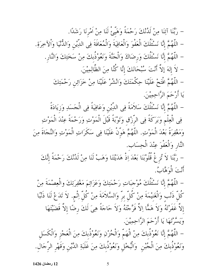– رَبَّنَا آتِنَا مِنْ لَدُنْكَ رَحْمَةً وَهَيِّئْ لَنَا مِنْ اَمْرِنَا رَشَدًا. – اللَّهُمَّ إِنَّا نَسْئَلُكَ الْعَفْوَ وَالْعَافِيَةَ وَالْمُعَافَةَ فِي اللَّيْنِ وَاللُّنْيَا وَاْلآخِرَةِ. – اللَّهُمَّ إِنَّا نَسْئَلُكَ وَرضَاكَ وَالْجَنَّةَ وَنَعُوْذُبِكَ مِنْ سَخَتِكَ وَالنَّارِ . – لاَ إِلهَ إِلاَّ أَنْتَ سُبْحَانَكَ إِنَّا كُنَّا مِنَ الظَّالِمِيْنَ. – اللَّهُمَّ افْتَحْ عَلَيْنَا حِكْمَتَكَ وَانْشُرْ عَلَيْنَا مِنْ خَزَائِن رَحْمَتِكَ يَا أَرْحَمَ الرَّاحِمِيْنَ. – اللَّهُمَّ إِنَّا نَسْئَلُكَ سَلاَمَةً فِي الدِّيْنِ وَعَافِيَةً فِي الْجَسَدِ وَزِيَادَةً فِي الْعِلْمِ وَبَرَكَةً فِي الرَّزْقِ وَتَوْبَةً قَبْلَ الْمَوْتِ وَرَحْمَةً عِنْدَ الْمَوْتِ وَمَغْفِرَةً بَعْدَ الْمَوْتِ. اللَّهُمَّ هَوّنْ عَلَيْنَا فِي سَكَرَاتِ الْمَوْتِ وَالنَّجَاةَ مِنَ النَّار وَالْعَفْوَ عِنْدَ الْحِسَاب. – رَبَّنَا لاَ تُزِ غْ قُلُوْبَنَا بَعْدَ اِذْ هَدَيْتَنَا وَهَبْ لَنَا مِنْ لَدُنْكَ رَحْمَةً إِنَّكَ أَنْتَ الْوَهَّابُّ.

– اللَّهُمَّ إِنَّا نَسْئَلُكَ مُوْجَبَاتِ رَحْمَتِكَ وَعَزَائِمَ مَغْفِرَتِكَ والْعِصْمَةَ مِنْ كُلّْ ذَنْبٍ وَالْغَنيْمَةَ مِنْ كُلّْ برّْ وَالسَّلاَمَةَ مِنْ كُلّْ اِثْم. لاَ تَدَعْ لَنَا ذَنْبًا إِلَّا غَفَرْتَهُ وَلاَ هَمًّا اِلاَّ فَرَّجْتَهُ وَلاَ حَاجَةً هِيَ لَكَ رضًا إلاَّ قَضَيْتَهَا وَيَسَّرْتَهَا يَا أَرْحَمَ الرَّاحِمِيْنَ. – اللَّهُمَّ إِنَّا نَعُوْذُبِكَ مِنْ الْهَمّ وَالْحُزْنِ وَنَعُوْذُبِكَ مِنَ الْعَجْزِ وَالْكَسَلِ

وَنَعُوْذُبكَ مِنَ الْجُبْنِ ۚ وَالْبُخْلِ وَنَعُوْذُبكَ مِنَ غَلَبَةِ الدَّيْنِ وَقَهْرِ الرِّجَالِ.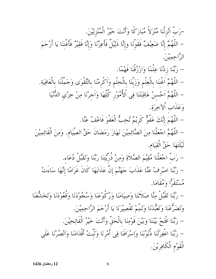-رَبَّ أَنْزِلْنَا مُنْزَلاً مُبَارَكًا وَأَنْتَ خَيْرُ الْمُنْزِلِيْنَ. – اللَّهُمَّ إِنَّا ضَعِيْفٌ فَقَوَّنَا وإِنَّا ذَلِيْلٌ فَأَعِزَّنَا وَإِنَّا فَقِيْرٌ فَأَغْننَا يَا أَرْحَمَ الرَّاحِمِينَ. – رَبَّنَا زِدْنَا عِلْمًا وَارْزُقْنَا فَهْمًا. – اللَّهُمَّ اَغْننَا بِالْعِلْمِ وَزَيّنَا بِالْحِلْمِ وَاَكْرِمْنَا بِالتَّقْوَى وَجَمِّلْنَا بِالْعَافِيَةِ. – اللَّهُمَّ اَحْسنْ عَاقِبَتَنَا فِي اْلْأُمُوْرِ كُلِّهَا وَاَجرْنَا مِنْ خِزْيِ الدُّنْيَا وَعَذَابِ أَلاَّخِرَةِ. – اللَّهُمَ إِنَّكَ عَفُوٌّ كَرِيْمٌ تُحِبُّ الْعَفْوَ فَاعْفُ عَنَّا. – اللَّهُمَّ اجْعَلْنَا مِنَ الصَّائِمِيْنَ نَهَارَ رَمَضَانَ حَقَّ الصِّيَام. وَمِنَ الْقَائِمِيْنَ لَيْلَتَهَا حَقَّ الْقِيَامِ. – رَبَّ اجْعَلْنَا مُقِيْمَ الصَّلاَةِ وَمِنْ ذُرِّيَّتِنَا رَبَّنَا وَتَقَبَّلْ دُعَاء. – رَبَّنَا اصْرِفْ عَنَّا عَذَابَ جَهَنَّمَ إِنَّ عَذَابَهَا كَانَ غَرَامًا إِنَّهَا سَاءَتْ مْسْتَقَرًّا وَمُقَامَا. – رَبَّنَا تَقَبَّلْ مِنَّا صَلاَتَنَا وَصِيَامَنَا وَرُكُوعَنَا وَسُجُودْنَا وَقُعُودْنَا وَتَخَشَّعَنَا وَتَضَرُّعَنَا وَتَعَبُّدَنَا وَتَمِيمْ تَقْصِيْرَنَا يَا أَرْحَمَ الرَّاحِمِيْنَ. – رَبَّنَا افْتَحْ بَيْنَنَا وَبَيْنَ قَوْمِنَا بِالْحَقِّ وَأَنْتَ خَيْرُ الْفَاتِحِيْنَ. – رَبَّنَا اغْفِرْلَنَا ذُنُوْبَنَا وَإِسْرَافَنَا فِي أَمْرِنَا وَتَبّتْ أَقْدَامَنَا وَانْصُرْنَا عَلَى الْقَوْمِ الْكَافِرِيْنَ.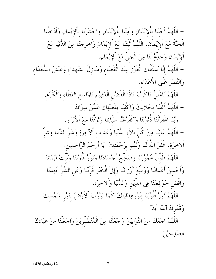– اللَّهُمَّ اَحْينَا بِاْلِإِيْمَانِ وَاَمِتْنَا بِاْلِإِيْمَانِ وَاحْشُرْنَا بِاْلِإِيْمَانِ وَاَدْخِلْنَا الْجَنَّةَ مَعَ اْلِإِيْماَنِ. اللَّهُمَّ تُبَّتْنَا مَعَ اْلِإِيْمَانِ وَاَخْرِجْنَا مِنَ اللُّفْيَا مَعَ اْلإِيْمَانِ وَخَلِّمْ لَنَا مِنَ الْجنَّ مَعَ اْلإِيْمَانِ. – اللَّهُمَّ إِنَّا نَسْئَلُكَ الْفَوْزَ عِنْدَ الْقَضَاء وَمَنَازِلَ الشُّهَدَاءِ وَعَيْشَ السُّعَدَاءِ وَالنَّصْرَ عَلَى أَلاَّعْدَاء. – اللَّهُمَّ يَاغَنيٌّ يَاكَرِيْمٌ يَاذَا الْفَضْلِ الْعَظِيْمِ يَاوَاسِعَ العَطَاء وَالْكَرَم. – اللَّهُمَّ اَغْننَا بحَلاَلِكَ وَاكْفِنَا بفَضْلِكَ عَمَّنْ سِوَاكَ. – رَبَّنَا اغْفِرْلَنَا ذُنُوْبَنَا وَكَفِّرْعَنَّا سَيّآتِنَا وَتَوَفَّنَا مَعَ ٱلأَبْرَارِ. – اللَّهُمَّ عَافِنَا مِنْ كُلِّ بَلاَء الدُّنْيَا وَعَذَاب اْلآخِرَةِ وَشَرِّ الدُّنَيَا وَشَرّ ٱلآخِرَةِ. غَفَرَ اللهُ لَنَا وَلَهُمْ برَحْمَتِكَ ۚ يَا أَرْحَمَ الرَّاحِمِيْنِ. – اللَّهُمَّ طَوّلْ عُمُورَنَا وَصَحِّحْ أَجْسَادَنَا وَنَورْ قُلُوْبَنَا وَثَبّتْ إِيْمَانَنَا وَاَحْسِنْ أَعْمَالَنَا وَوَسِّعْ أَرْزَاقَنَا وَإِلَى الْخَيْرِ قَرّْبْنَا وَعَنِ الشَّرّْ اَبْعِدْنَا وَاقْض حَوَائِجَنَا فِي الدِّيْنِ وَالدُّنْيَا وَاْلآخِرَةِ. – اللَّهُمَّ نَوَّرٌ قُلُوْبَنَا بُنُوْرِهِدَايَتِكَ كَمَا نَوَّرْتَ اْلأَرْضَ بُنُوْرٍ شَمْسكَ وَقَمَرِكَ أَبَدًا اَبَدًاْ. – اللَّهُمَّ اجْعَلْنَا مِنَ التَّوَابِيْنَ وَاجْعَلْنَا مِنَ الْمُتَطَهَّرِيْنَ وَاجْعَلْنَا مِنْ عِبَادِكَ الصَّالِحِيْنَ.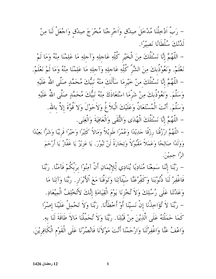لَدُّنْكَ سُلْطَانًا نَصِيْرًا. – اللَّهُمَّ إِنَّا نَسْئَلُكَ مِنَ الْخَيْرِ كُلِّهِ عَاجلِهِ وَآجلِهِ مَا عَلِمْنَا مِنْهُ وَمَا لَمْ نَعْلَمْ. وَنَعُوْذُبكَ مِنَ الشَّرِّ كُلِّهِ عَاجلِهِ وَآجلِهِ مَا عَلِمْنَا مِنْهُ وَمَا لَمْ نَعْلَمْ. – اللَّهُمَّ إِنَّا نَسْئَلُكَ منْ خَيْرِمَا سَأَلَكَ منْهُ نَبِيُّكَ مُحَمَّدٍ صَلَّى اللَّهُ عَلَيْهِ وَسَلَّمَ. وَنَعُوْذُبكَ مِنْ شَرَّمَا اسْتَعَاذَكَ مِنْهُ نَبِيُّكَ مُحَمَّدٍ صَلَّى اللَّهُ عَلَيْهِ وَسَلَّمَ. أَنْتَ الْمُسْتَعَانُ وَعَلَيْكَ الْبَلاَغُ وَلاَحَوْلَ وَلاَ قُوَّةَ إِلاَّ بِاللهِ. – اللَّهُمَّ إِنَّا نَسْئَلُكَ الْهُدَى وَالثُّقَى وَالْعَافِيَةَ وَالْغِنَى. – اللَّهُمَّ ارْزُقْنَا رِزْقًا جَدِيْدًا وَعُمُرًا طَوِيْلاً وَمَالاً كَثِيْرًا وَخَيْرًا قَرِيْبًا وَشَرًّا بَعِيْدًا

– رَبَّ اَدْخِلْنَا مُدْخَلَ صِدْقٍ وَاَخْرِجْنَا مُخْرَجَ صِدْقٍ وَاجْعَلْ لَنَا مِنْ

وَوَلَدًا صَالِحًا وَعَمَلاً مَقْبُوْلاً وَتِجَارَةً لَنْ تَبُوْرَ. يَا عَزِيْزُ يَا غَفَّارُ يَا أَرْحَمَ الرَّا حِمِيْنَ.

– رَبَّنَا إِنَّنَا سَمِعْنَا مُنَادِيًا يُنَادِي لِّلإِيْمَانِ أَنْ آمِنُوْا برَبَّكُمْ فَآمَنَّا. رَبَّنَا فَاغْفِرْ لَنَا ذُنُوْبَنَا وَكَفِّرْعَنَّا سَيْئَآتِنَا وَتَوَفَّنَا مَعَ ٱلأَبْرَارِ. رَبَّنَا وَآتِنَا مَا وَعَدْتَنَا عَلَى رُسُلِكَ وَلاَ تُخْزِنَا يَوْمَ الْقِيَامَةِ إِنَّكَ لاَتُخْلِفُ الْمِيْعَادِ. – رَبَّنَا لاَ تُؤَاخِذْنَا إِنْ نَسيْنَا أَوْ أَخْطَأْنَا. رَبَّنَا وَلاَ تَحْمِلْ عَلَيْنَا إِصْرًا كَمَا حَمَلْتَهُ عَلَى الَّذِيْنَ مِنْ قَبْلِنَا. رَيَّنَا وَلاَ تُحَمِّلْنَا مَالاَ طَاقَةَ لَنَا بِهِ. وَاعْفُ عَنَّا وَاغْفِرْلَنَا وَارْحَمْنَا أَنْتَ مَوْلاَنَا فَانْصُرْنَا عَلَى الْقَوْمِ الْكَافِرِيْنَ.